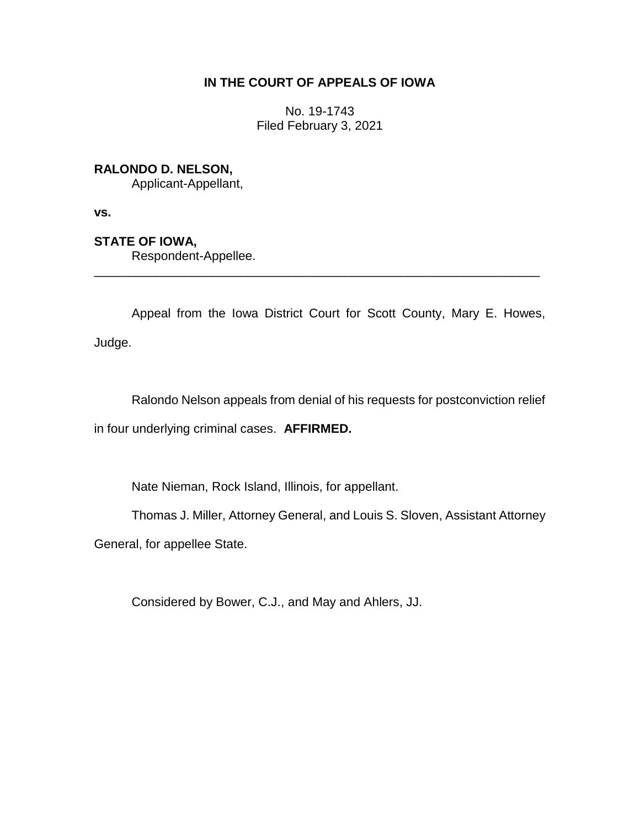# **IN THE COURT OF APPEALS OF IOWA**

No. 19-1743 Filed February 3, 2021

# **RALONDO D. NELSON,**

Applicant-Appellant,

**vs.**

# **STATE OF IOWA,**

Respondent-Appellee.

Appeal from the Iowa District Court for Scott County, Mary E. Howes, Judge.

\_\_\_\_\_\_\_\_\_\_\_\_\_\_\_\_\_\_\_\_\_\_\_\_\_\_\_\_\_\_\_\_\_\_\_\_\_\_\_\_\_\_\_\_\_\_\_\_\_\_\_\_\_\_\_\_\_\_\_\_\_\_\_\_

Ralondo Nelson appeals from denial of his requests for postconviction relief in four underlying criminal cases. **AFFIRMED.**

Nate Nieman, Rock Island, Illinois, for appellant.

Thomas J. Miller, Attorney General, and Louis S. Sloven, Assistant Attorney

General, for appellee State.

Considered by Bower, C.J., and May and Ahlers, JJ.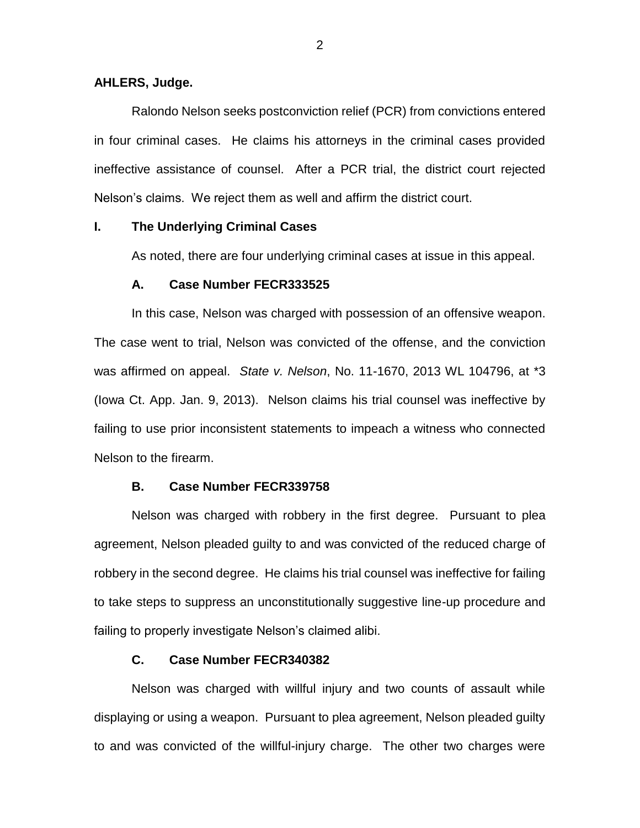### **AHLERS, Judge.**

Ralondo Nelson seeks postconviction relief (PCR) from convictions entered in four criminal cases. He claims his attorneys in the criminal cases provided ineffective assistance of counsel. After a PCR trial, the district court rejected Nelson's claims. We reject them as well and affirm the district court.

### **I. The Underlying Criminal Cases**

As noted, there are four underlying criminal cases at issue in this appeal.

#### **A. Case Number FECR333525**

In this case, Nelson was charged with possession of an offensive weapon. The case went to trial, Nelson was convicted of the offense, and the conviction was affirmed on appeal. *State v. Nelson*, No. 11-1670, 2013 WL 104796, at \*3 (Iowa Ct. App. Jan. 9, 2013). Nelson claims his trial counsel was ineffective by failing to use prior inconsistent statements to impeach a witness who connected Nelson to the firearm.

#### **B. Case Number FECR339758**

Nelson was charged with robbery in the first degree. Pursuant to plea agreement, Nelson pleaded guilty to and was convicted of the reduced charge of robbery in the second degree. He claims his trial counsel was ineffective for failing to take steps to suppress an unconstitutionally suggestive line-up procedure and failing to properly investigate Nelson's claimed alibi.

### **C. Case Number FECR340382**

Nelson was charged with willful injury and two counts of assault while displaying or using a weapon. Pursuant to plea agreement, Nelson pleaded guilty to and was convicted of the willful-injury charge. The other two charges were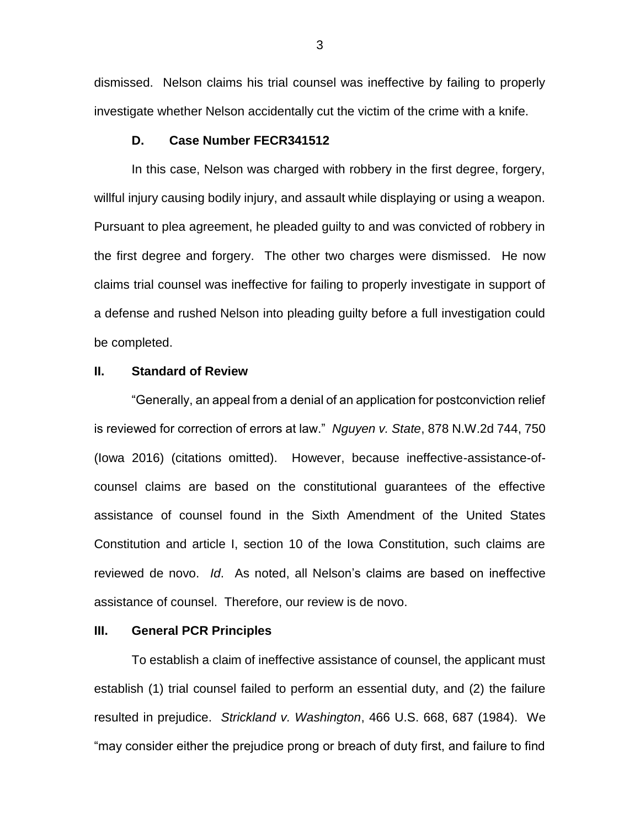dismissed. Nelson claims his trial counsel was ineffective by failing to properly investigate whether Nelson accidentally cut the victim of the crime with a knife.

### **D. Case Number FECR341512**

In this case, Nelson was charged with robbery in the first degree, forgery, willful injury causing bodily injury, and assault while displaying or using a weapon. Pursuant to plea agreement, he pleaded guilty to and was convicted of robbery in the first degree and forgery. The other two charges were dismissed. He now claims trial counsel was ineffective for failing to properly investigate in support of a defense and rushed Nelson into pleading guilty before a full investigation could be completed.

## **II. Standard of Review**

"Generally, an appeal from a denial of an application for postconviction relief is reviewed for correction of errors at law." *Nguyen v. State*, 878 N.W.2d 744, 750 (Iowa 2016) (citations omitted). However, because ineffective-assistance-ofcounsel claims are based on the constitutional guarantees of the effective assistance of counsel found in the Sixth Amendment of the United States Constitution and article I, section 10 of the Iowa Constitution, such claims are reviewed de novo. *Id*. As noted, all Nelson's claims are based on ineffective assistance of counsel. Therefore, our review is de novo.

#### **III. General PCR Principles**

To establish a claim of ineffective assistance of counsel, the applicant must establish (1) trial counsel failed to perform an essential duty, and (2) the failure resulted in prejudice. *Strickland v. Washington*, 466 U.S. 668, 687 (1984). We "may consider either the prejudice prong or breach of duty first, and failure to find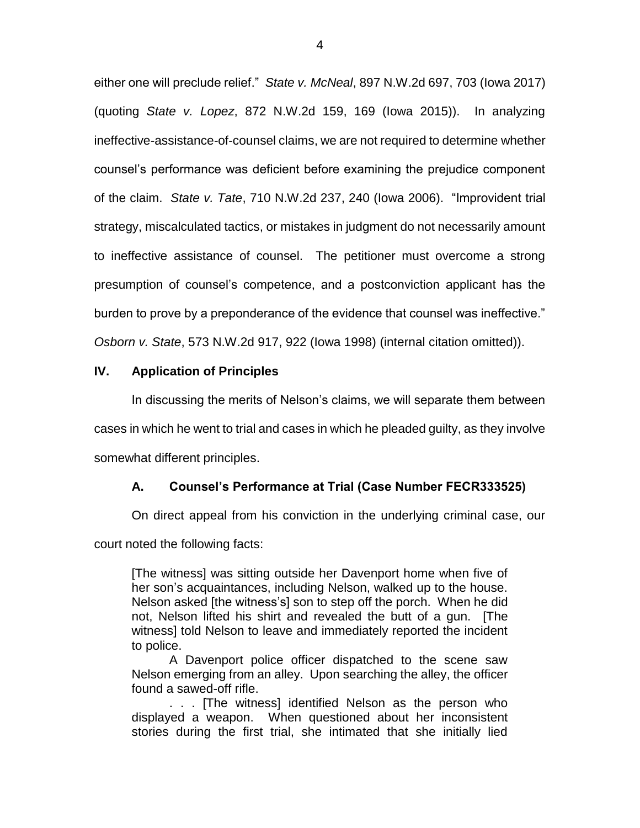either one will preclude relief." *State v. McNeal*, 897 N.W.2d 697, 703 (Iowa 2017) (quoting *State v. Lopez*, 872 N.W.2d 159, 169 (Iowa 2015)). In analyzing ineffective-assistance-of-counsel claims, we are not required to determine whether counsel's performance was deficient before examining the prejudice component of the claim. *State v. Tate*, 710 N.W.2d 237, 240 (Iowa 2006). "Improvident trial strategy, miscalculated tactics, or mistakes in judgment do not necessarily amount to ineffective assistance of counsel. The petitioner must overcome a strong presumption of counsel's competence, and a postconviction applicant has the burden to prove by a preponderance of the evidence that counsel was ineffective." *Osborn v. State*, 573 N.W.2d 917, 922 (Iowa 1998) (internal citation omitted)).

## **IV. Application of Principles**

In discussing the merits of Nelson's claims, we will separate them between cases in which he went to trial and cases in which he pleaded guilty, as they involve somewhat different principles.

# **A. Counsel's Performance at Trial (Case Number FECR333525)**

On direct appeal from his conviction in the underlying criminal case, our

court noted the following facts:

[The witness] was sitting outside her Davenport home when five of her son's acquaintances, including Nelson, walked up to the house. Nelson asked [the witness's] son to step off the porch. When he did not, Nelson lifted his shirt and revealed the butt of a gun. [The witness] told Nelson to leave and immediately reported the incident to police.

A Davenport police officer dispatched to the scene saw Nelson emerging from an alley. Upon searching the alley, the officer found a sawed-off rifle.

. . . [The witness] identified Nelson as the person who displayed a weapon. When questioned about her inconsistent stories during the first trial, she intimated that she initially lied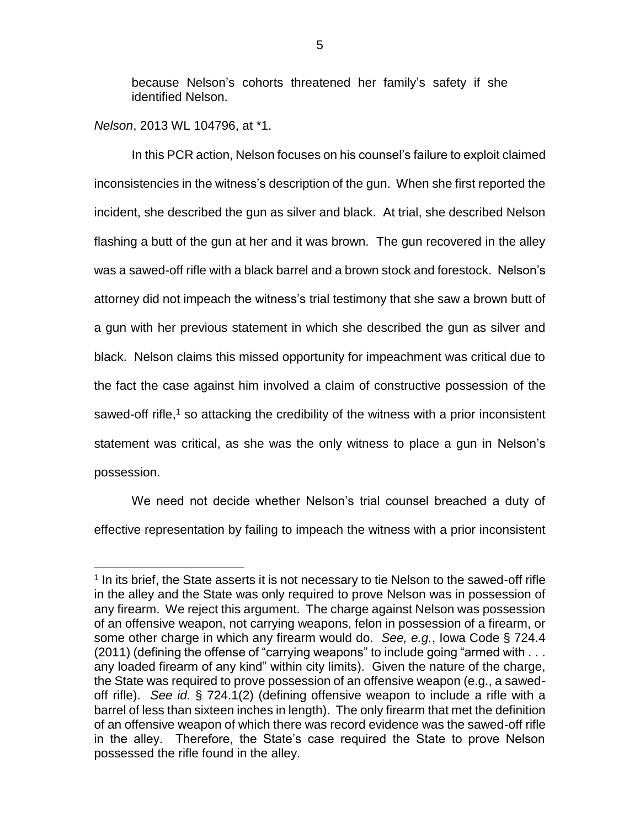because Nelson's cohorts threatened her family's safety if she identified Nelson.

*Nelson*, 2013 WL 104796, at \*1.

 $\overline{a}$ 

In this PCR action, Nelson focuses on his counsel's failure to exploit claimed inconsistencies in the witness's description of the gun. When she first reported the incident, she described the gun as silver and black. At trial, she described Nelson flashing a butt of the gun at her and it was brown. The gun recovered in the alley was a sawed-off rifle with a black barrel and a brown stock and forestock. Nelson's attorney did not impeach the witness's trial testimony that she saw a brown butt of a gun with her previous statement in which she described the gun as silver and black. Nelson claims this missed opportunity for impeachment was critical due to the fact the case against him involved a claim of constructive possession of the sawed-off rifle,<sup>1</sup> so attacking the credibility of the witness with a prior inconsistent statement was critical, as she was the only witness to place a gun in Nelson's possession.

We need not decide whether Nelson's trial counsel breached a duty of effective representation by failing to impeach the witness with a prior inconsistent

<sup>&</sup>lt;sup>1</sup> In its brief, the State asserts it is not necessary to tie Nelson to the sawed-off rifle in the alley and the State was only required to prove Nelson was in possession of any firearm. We reject this argument. The charge against Nelson was possession of an offensive weapon, not carrying weapons, felon in possession of a firearm, or some other charge in which any firearm would do. *See, e.g.*, Iowa Code § 724.4 (2011) (defining the offense of "carrying weapons" to include going "armed with . . . any loaded firearm of any kind" within city limits). Given the nature of the charge, the State was required to prove possession of an offensive weapon (e.g., a sawedoff rifle). *See id.* § 724.1(2) (defining offensive weapon to include a rifle with a barrel of less than sixteen inches in length). The only firearm that met the definition of an offensive weapon of which there was record evidence was the sawed-off rifle in the alley. Therefore, the State's case required the State to prove Nelson possessed the rifle found in the alley.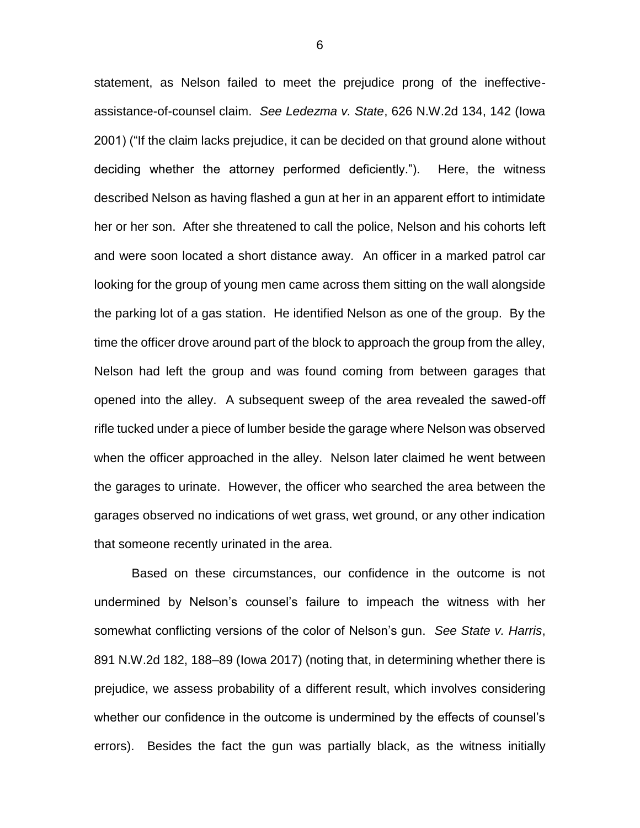statement, as Nelson failed to meet the prejudice prong of the ineffectiveassistance-of-counsel claim. *See Ledezma v. State*, 626 N.W.2d 134, 142 (Iowa 2001) ("If the claim lacks prejudice, it can be decided on that ground alone without deciding whether the attorney performed deficiently."). Here, the witness described Nelson as having flashed a gun at her in an apparent effort to intimidate her or her son. After she threatened to call the police, Nelson and his cohorts left and were soon located a short distance away. An officer in a marked patrol car looking for the group of young men came across them sitting on the wall alongside the parking lot of a gas station. He identified Nelson as one of the group. By the time the officer drove around part of the block to approach the group from the alley, Nelson had left the group and was found coming from between garages that opened into the alley. A subsequent sweep of the area revealed the sawed-off rifle tucked under a piece of lumber beside the garage where Nelson was observed when the officer approached in the alley. Nelson later claimed he went between the garages to urinate. However, the officer who searched the area between the garages observed no indications of wet grass, wet ground, or any other indication that someone recently urinated in the area.

Based on these circumstances, our confidence in the outcome is not undermined by Nelson's counsel's failure to impeach the witness with her somewhat conflicting versions of the color of Nelson's gun. *See State v. Harris*, 891 N.W.2d 182, 188–89 (Iowa 2017) (noting that, in determining whether there is prejudice, we assess probability of a different result, which involves considering whether our confidence in the outcome is undermined by the effects of counsel's errors). Besides the fact the gun was partially black, as the witness initially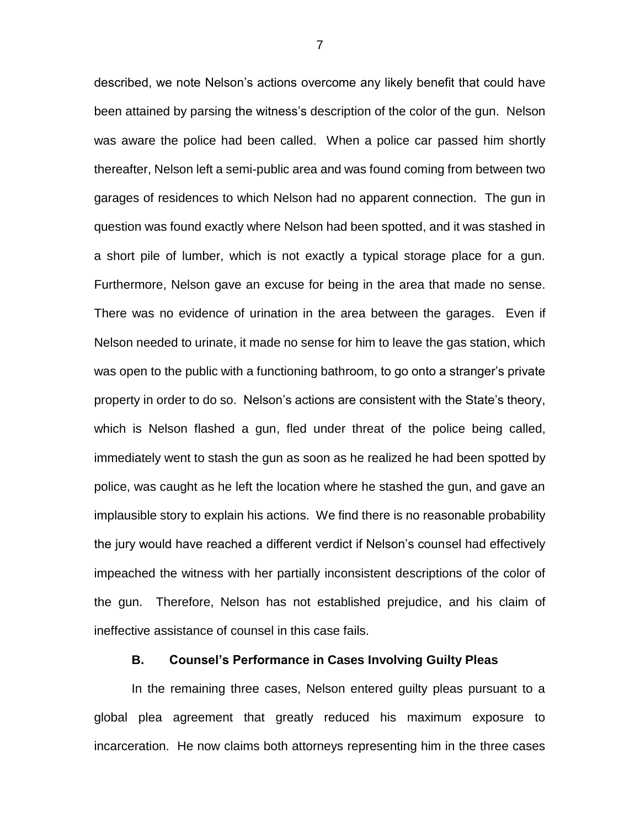described, we note Nelson's actions overcome any likely benefit that could have been attained by parsing the witness's description of the color of the gun. Nelson was aware the police had been called. When a police car passed him shortly thereafter, Nelson left a semi-public area and was found coming from between two garages of residences to which Nelson had no apparent connection. The gun in question was found exactly where Nelson had been spotted, and it was stashed in a short pile of lumber, which is not exactly a typical storage place for a gun. Furthermore, Nelson gave an excuse for being in the area that made no sense. There was no evidence of urination in the area between the garages. Even if Nelson needed to urinate, it made no sense for him to leave the gas station, which was open to the public with a functioning bathroom, to go onto a stranger's private property in order to do so. Nelson's actions are consistent with the State's theory, which is Nelson flashed a gun, fled under threat of the police being called, immediately went to stash the gun as soon as he realized he had been spotted by police, was caught as he left the location where he stashed the gun, and gave an implausible story to explain his actions. We find there is no reasonable probability the jury would have reached a different verdict if Nelson's counsel had effectively impeached the witness with her partially inconsistent descriptions of the color of the gun. Therefore, Nelson has not established prejudice, and his claim of ineffective assistance of counsel in this case fails.

### **B. Counsel's Performance in Cases Involving Guilty Pleas**

In the remaining three cases, Nelson entered guilty pleas pursuant to a global plea agreement that greatly reduced his maximum exposure to incarceration. He now claims both attorneys representing him in the three cases

7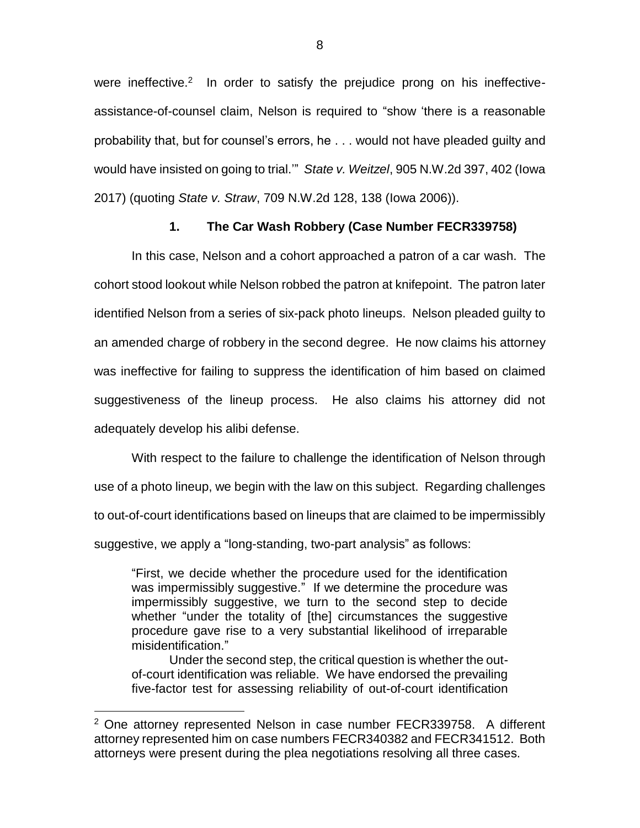were ineffective. $2$  In order to satisfy the prejudice prong on his ineffectiveassistance-of-counsel claim, Nelson is required to "show 'there is a reasonable probability that, but for counsel's errors, he . . . would not have pleaded guilty and would have insisted on going to trial.'" *State v. Weitzel*, 905 N.W.2d 397, 402 (Iowa 2017) (quoting *State v. Straw*, 709 N.W.2d 128, 138 (Iowa 2006)).

## **1. The Car Wash Robbery (Case Number FECR339758)**

In this case, Nelson and a cohort approached a patron of a car wash. The cohort stood lookout while Nelson robbed the patron at knifepoint. The patron later identified Nelson from a series of six-pack photo lineups. Nelson pleaded guilty to an amended charge of robbery in the second degree. He now claims his attorney was ineffective for failing to suppress the identification of him based on claimed suggestiveness of the lineup process. He also claims his attorney did not adequately develop his alibi defense.

With respect to the failure to challenge the identification of Nelson through use of a photo lineup, we begin with the law on this subject. Regarding challenges to out-of-court identifications based on lineups that are claimed to be impermissibly suggestive, we apply a "long-standing, two-part analysis" as follows:

"First, we decide whether the procedure used for the identification was impermissibly suggestive." If we determine the procedure was impermissibly suggestive, we turn to the second step to decide whether "under the totality of [the] circumstances the suggestive procedure gave rise to a very substantial likelihood of irreparable misidentification."

Under the second step, the critical question is whether the outof-court identification was reliable. We have endorsed the prevailing five-factor test for assessing reliability of out-of-court identification

 $\overline{a}$ 

 $2$  One attorney represented Nelson in case number FECR339758. A different attorney represented him on case numbers FECR340382 and FECR341512. Both attorneys were present during the plea negotiations resolving all three cases.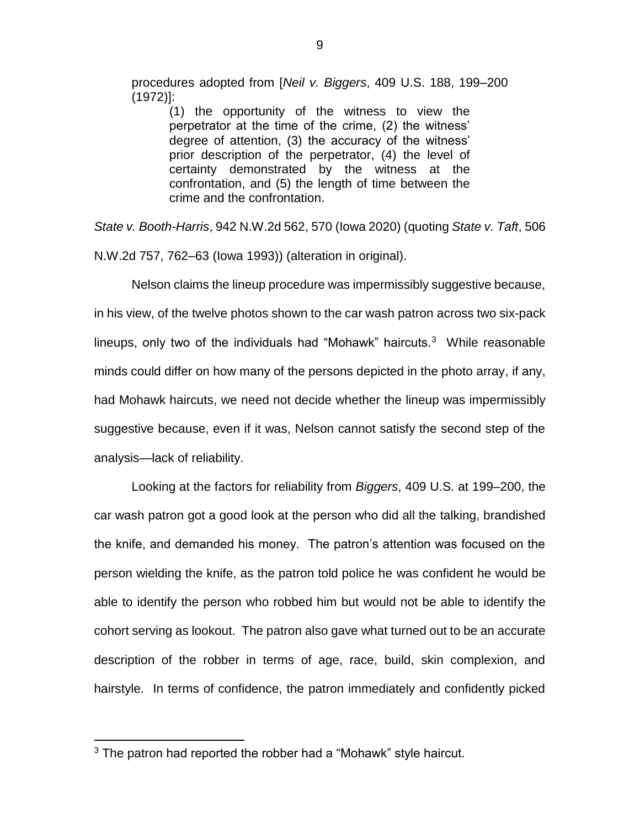procedures adopted from [*Neil v. Biggers*, 409 U.S. 188, 199–200 (1972)]:

> (1) the opportunity of the witness to view the perpetrator at the time of the crime, (2) the witness' degree of attention, (3) the accuracy of the witness' prior description of the perpetrator, (4) the level of certainty demonstrated by the witness at the confrontation, and (5) the length of time between the crime and the confrontation.

*State v. Booth-Harris*, 942 N.W.2d 562, 570 (Iowa 2020) (quoting *State v. Taft*, 506 N.W.2d 757, 762–63 (Iowa 1993)) (alteration in original).

Nelson claims the lineup procedure was impermissibly suggestive because, in his view, of the twelve photos shown to the car wash patron across two six-pack lineups, only two of the individuals had "Mohawk" haircuts. $3$  While reasonable minds could differ on how many of the persons depicted in the photo array, if any, had Mohawk haircuts, we need not decide whether the lineup was impermissibly suggestive because, even if it was, Nelson cannot satisfy the second step of the analysis—lack of reliability.

Looking at the factors for reliability from *Biggers*, 409 U.S. at 199–200, the car wash patron got a good look at the person who did all the talking, brandished the knife, and demanded his money. The patron's attention was focused on the person wielding the knife, as the patron told police he was confident he would be able to identify the person who robbed him but would not be able to identify the cohort serving as lookout. The patron also gave what turned out to be an accurate description of the robber in terms of age, race, build, skin complexion, and hairstyle. In terms of confidence, the patron immediately and confidently picked

 $\overline{a}$ 

<sup>&</sup>lt;sup>3</sup> The patron had reported the robber had a "Mohawk" style haircut.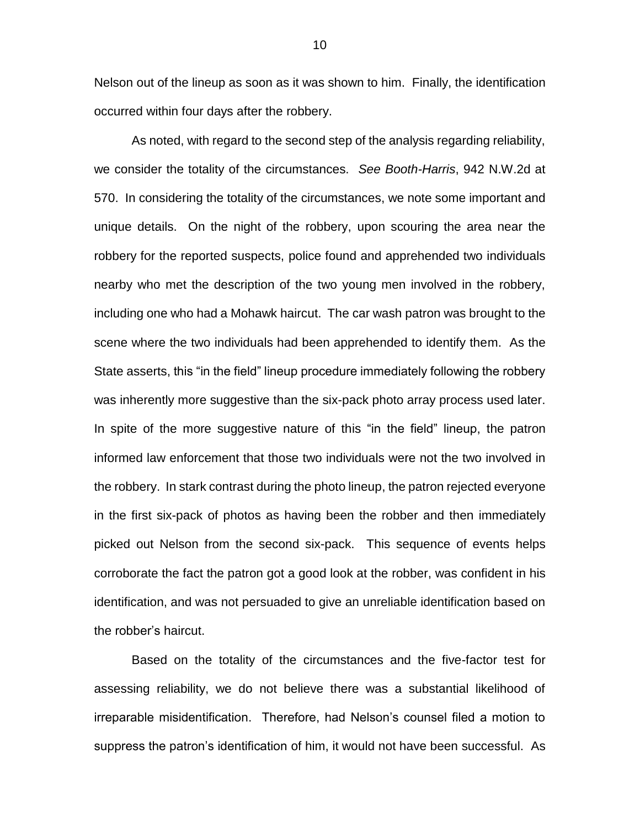Nelson out of the lineup as soon as it was shown to him. Finally, the identification occurred within four days after the robbery.

As noted, with regard to the second step of the analysis regarding reliability, we consider the totality of the circumstances. *See Booth-Harris*, 942 N.W.2d at 570. In considering the totality of the circumstances, we note some important and unique details. On the night of the robbery, upon scouring the area near the robbery for the reported suspects, police found and apprehended two individuals nearby who met the description of the two young men involved in the robbery, including one who had a Mohawk haircut. The car wash patron was brought to the scene where the two individuals had been apprehended to identify them. As the State asserts, this "in the field" lineup procedure immediately following the robbery was inherently more suggestive than the six-pack photo array process used later. In spite of the more suggestive nature of this "in the field" lineup, the patron informed law enforcement that those two individuals were not the two involved in the robbery. In stark contrast during the photo lineup, the patron rejected everyone in the first six-pack of photos as having been the robber and then immediately picked out Nelson from the second six-pack. This sequence of events helps corroborate the fact the patron got a good look at the robber, was confident in his identification, and was not persuaded to give an unreliable identification based on the robber's haircut.

Based on the totality of the circumstances and the five-factor test for assessing reliability, we do not believe there was a substantial likelihood of irreparable misidentification. Therefore, had Nelson's counsel filed a motion to suppress the patron's identification of him, it would not have been successful. As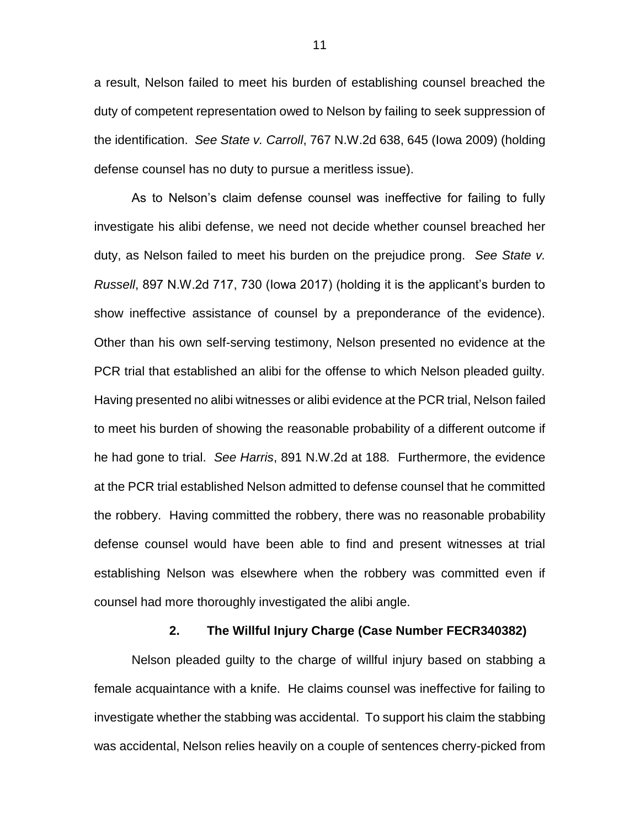a result, Nelson failed to meet his burden of establishing counsel breached the duty of competent representation owed to Nelson by failing to seek suppression of the identification. *See State v. Carroll*, 767 N.W.2d 638, 645 (Iowa 2009) (holding defense counsel has no duty to pursue a meritless issue).

As to Nelson's claim defense counsel was ineffective for failing to fully investigate his alibi defense, we need not decide whether counsel breached her duty, as Nelson failed to meet his burden on the prejudice prong. *See State v. Russell*, 897 N.W.2d 717, 730 (Iowa 2017) (holding it is the applicant's burden to show ineffective assistance of counsel by a preponderance of the evidence). Other than his own self-serving testimony, Nelson presented no evidence at the PCR trial that established an alibi for the offense to which Nelson pleaded guilty. Having presented no alibi witnesses or alibi evidence at the PCR trial, Nelson failed to meet his burden of showing the reasonable probability of a different outcome if he had gone to trial. *See Harris*, 891 N.W.2d at 188*.* Furthermore, the evidence at the PCR trial established Nelson admitted to defense counsel that he committed the robbery. Having committed the robbery, there was no reasonable probability defense counsel would have been able to find and present witnesses at trial establishing Nelson was elsewhere when the robbery was committed even if counsel had more thoroughly investigated the alibi angle.

### **2. The Willful Injury Charge (Case Number FECR340382)**

Nelson pleaded guilty to the charge of willful injury based on stabbing a female acquaintance with a knife. He claims counsel was ineffective for failing to investigate whether the stabbing was accidental. To support his claim the stabbing was accidental, Nelson relies heavily on a couple of sentences cherry-picked from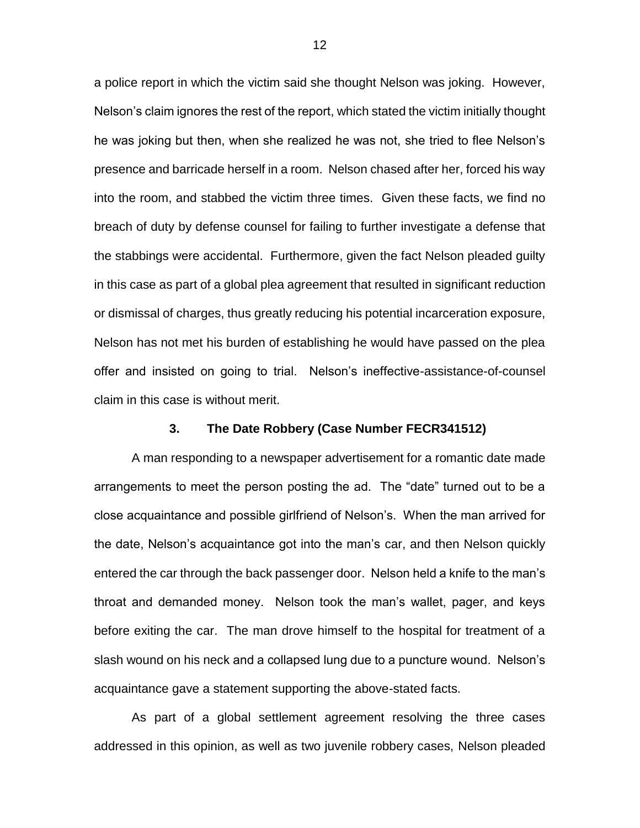a police report in which the victim said she thought Nelson was joking. However, Nelson's claim ignores the rest of the report, which stated the victim initially thought he was joking but then, when she realized he was not, she tried to flee Nelson's presence and barricade herself in a room. Nelson chased after her, forced his way into the room, and stabbed the victim three times. Given these facts, we find no breach of duty by defense counsel for failing to further investigate a defense that the stabbings were accidental. Furthermore, given the fact Nelson pleaded guilty in this case as part of a global plea agreement that resulted in significant reduction or dismissal of charges, thus greatly reducing his potential incarceration exposure, Nelson has not met his burden of establishing he would have passed on the plea offer and insisted on going to trial. Nelson's ineffective-assistance-of-counsel claim in this case is without merit.

# **3. The Date Robbery (Case Number FECR341512)**

A man responding to a newspaper advertisement for a romantic date made arrangements to meet the person posting the ad. The "date" turned out to be a close acquaintance and possible girlfriend of Nelson's. When the man arrived for the date, Nelson's acquaintance got into the man's car, and then Nelson quickly entered the car through the back passenger door. Nelson held a knife to the man's throat and demanded money. Nelson took the man's wallet, pager, and keys before exiting the car. The man drove himself to the hospital for treatment of a slash wound on his neck and a collapsed lung due to a puncture wound. Nelson's acquaintance gave a statement supporting the above-stated facts.

As part of a global settlement agreement resolving the three cases addressed in this opinion, as well as two juvenile robbery cases, Nelson pleaded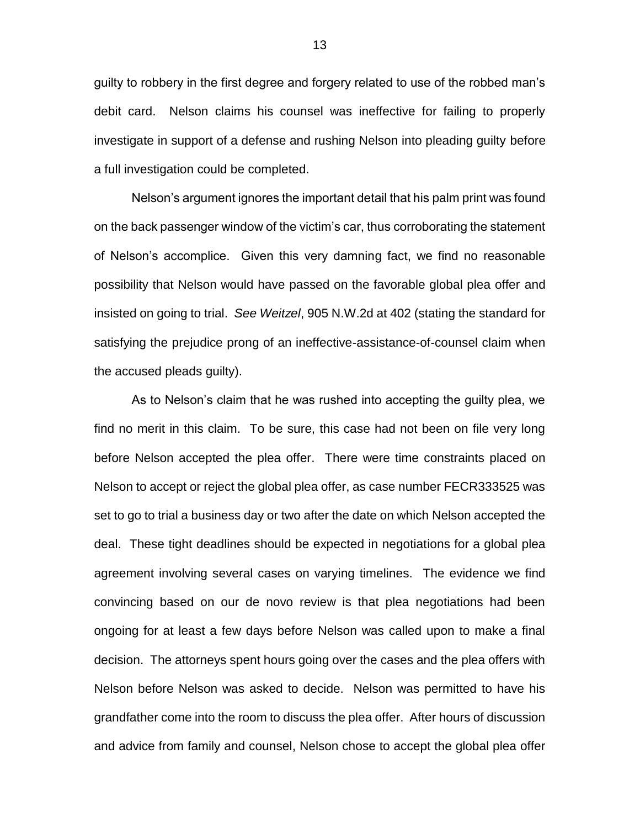guilty to robbery in the first degree and forgery related to use of the robbed man's debit card. Nelson claims his counsel was ineffective for failing to properly investigate in support of a defense and rushing Nelson into pleading guilty before a full investigation could be completed.

Nelson's argument ignores the important detail that his palm print was found on the back passenger window of the victim's car, thus corroborating the statement of Nelson's accomplice. Given this very damning fact, we find no reasonable possibility that Nelson would have passed on the favorable global plea offer and insisted on going to trial. *See Weitzel*, 905 N.W.2d at 402 (stating the standard for satisfying the prejudice prong of an ineffective-assistance-of-counsel claim when the accused pleads guilty).

As to Nelson's claim that he was rushed into accepting the guilty plea, we find no merit in this claim. To be sure, this case had not been on file very long before Nelson accepted the plea offer. There were time constraints placed on Nelson to accept or reject the global plea offer, as case number FECR333525 was set to go to trial a business day or two after the date on which Nelson accepted the deal. These tight deadlines should be expected in negotiations for a global plea agreement involving several cases on varying timelines. The evidence we find convincing based on our de novo review is that plea negotiations had been ongoing for at least a few days before Nelson was called upon to make a final decision. The attorneys spent hours going over the cases and the plea offers with Nelson before Nelson was asked to decide. Nelson was permitted to have his grandfather come into the room to discuss the plea offer. After hours of discussion and advice from family and counsel, Nelson chose to accept the global plea offer